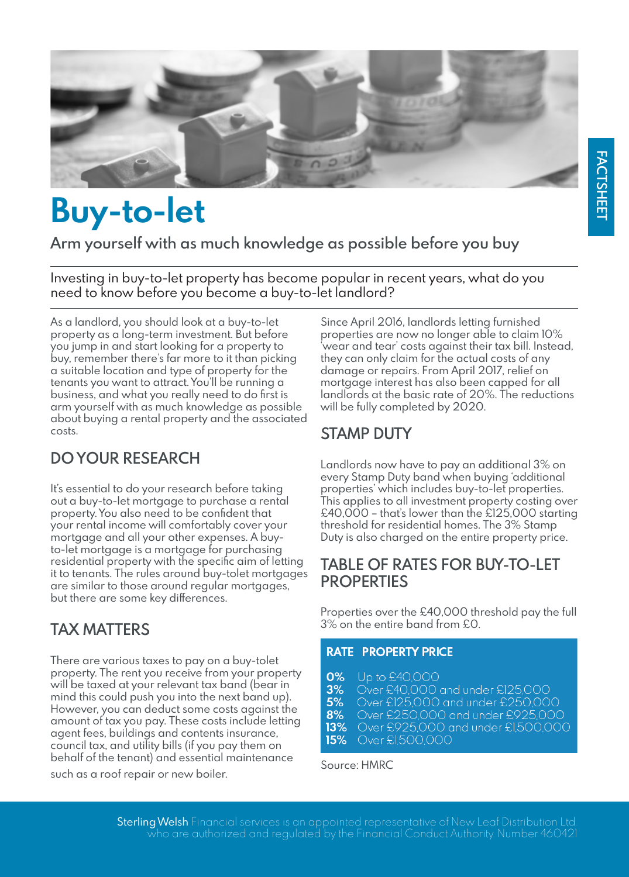

# **Buy-to-let**

**Arm yourself with as much knowledge as possible before you buy**

Investing in buy-to-let property has become popular in recent years, what do you need to know before you become a buy-to-let landlord?

As a landlord, you should look at a buy-to-let property as a long-term investment. But before you jump in and start looking for a property to buy, remember there's far more to it than picking a suitable location and type of property for the tenants you want to attract. You'll be running a business, and what you really need to do first is arm yourself with as much knowledge as possible about buying a rental property and the associated costs.

# **DO YOUR RESEARCH**

It's essential to do your research before taking out a buy-to-let mortgage to purchase a rental property. You also need to be confident that your rental income will comfortably cover your mortgage and all your other expenses. A buyto-let mortgage is a mortgage for purchasing residential property with the specific aim of letting it to tenants. The rules around buy-tolet mortgages are similar to those around regular mortgages, but there are some key differences.

# **TAX MATTERS**

There are various taxes to pay on a buy-tolet property. The rent you receive from your property will be taxed at your relevant tax band (bear in mind this could push you into the next band up). However, you can deduct some costs against the amount of tax you pay. These costs include letting agent fees, buildings and contents insurance, council tax, and utility bills (if you pay them on behalf of the tenant) and essential maintenance

such as a roof repair or new boiler.

Since April 2016, landlords letting furnished properties are now no longer able to claim 10% 'wear and tear' costs against their tax bill. Instead, they can only claim for the actual costs of any damage or repairs. From April 2017, relief on mortgage interest has also been capped for all landlords at the basic rate of 20%. The reductions will be fully completed by 2020.

# **STAMP DUTY**

Landlords now have to pay an additional 3% on every Stamp Duty band when buying 'additional properties' which includes buy-to-let properties. This applies to all investment property costing over £40,000 – that's lower than the £125,000 starting threshold for residential homes. The 3% Stamp Duty is also charged on the entire property price.

## **TABLE OF RATES FOR BUY-TO-LET PROPERTIES**

Properties over the £40,000 threshold pay the full 3% on the entire band from £0.

## **RATE PROPERTY PRICE**

- $0\%$ Up to £40,000
- $3%$
- Over £40,000 and under £125,000<br>Over £125,000 and under £250,000  $5%$
- 8% Over £250,000 and under £925,000<br>13% Over £925,000 and under £1,500,000
- 
- Over £1,500,000  $15%$

### Source: HMRC